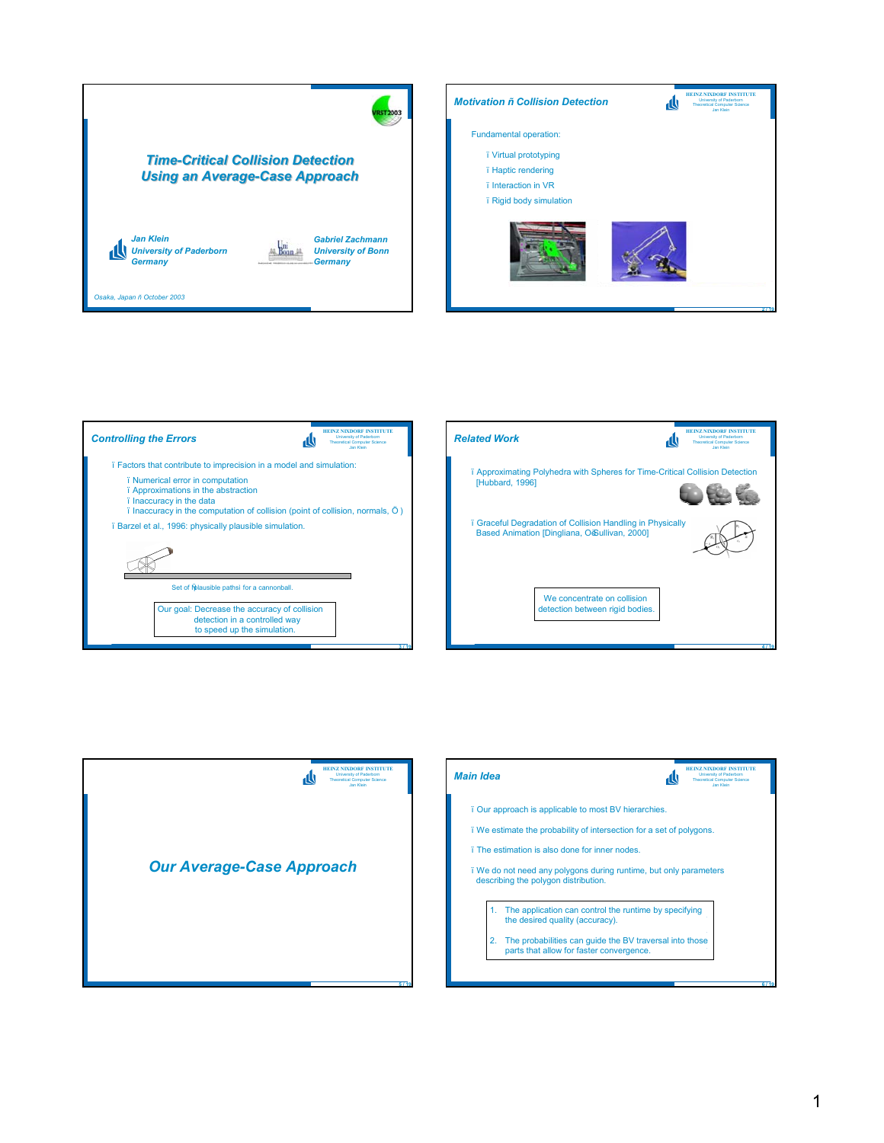



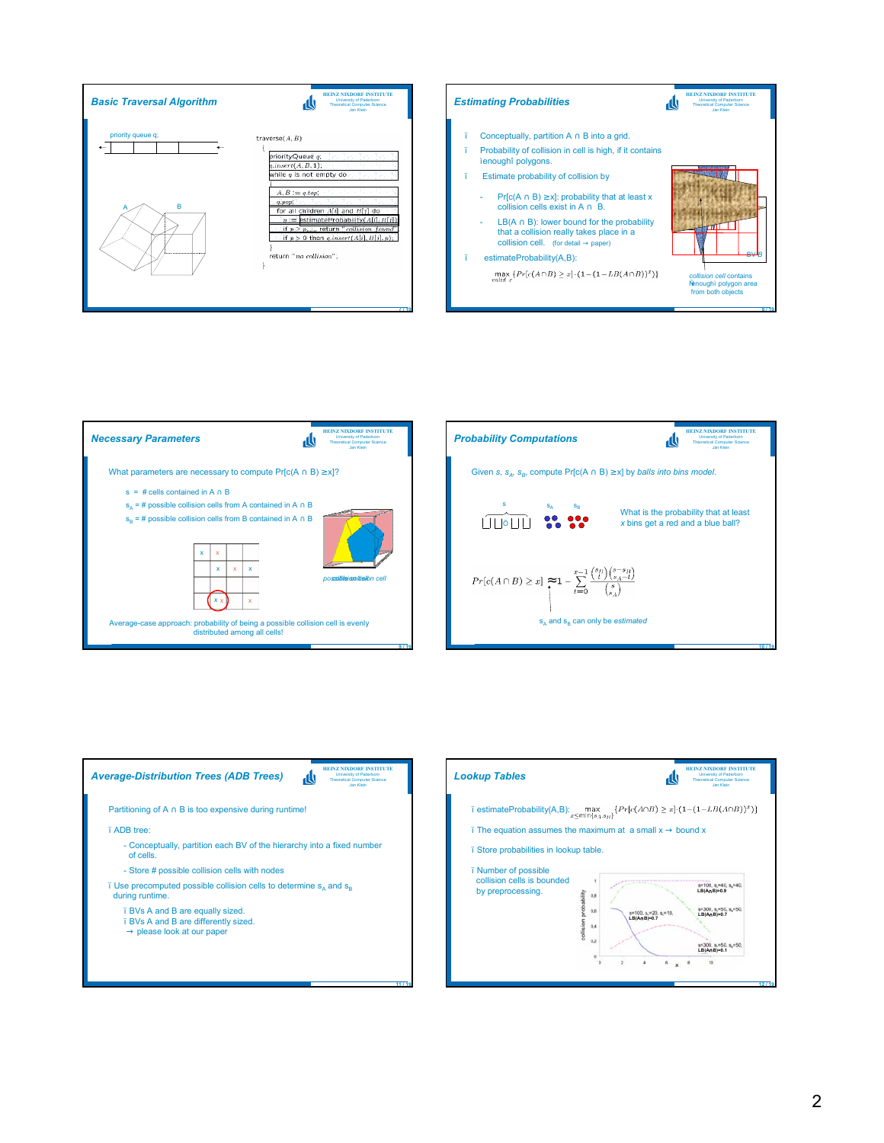







**11 / 19**

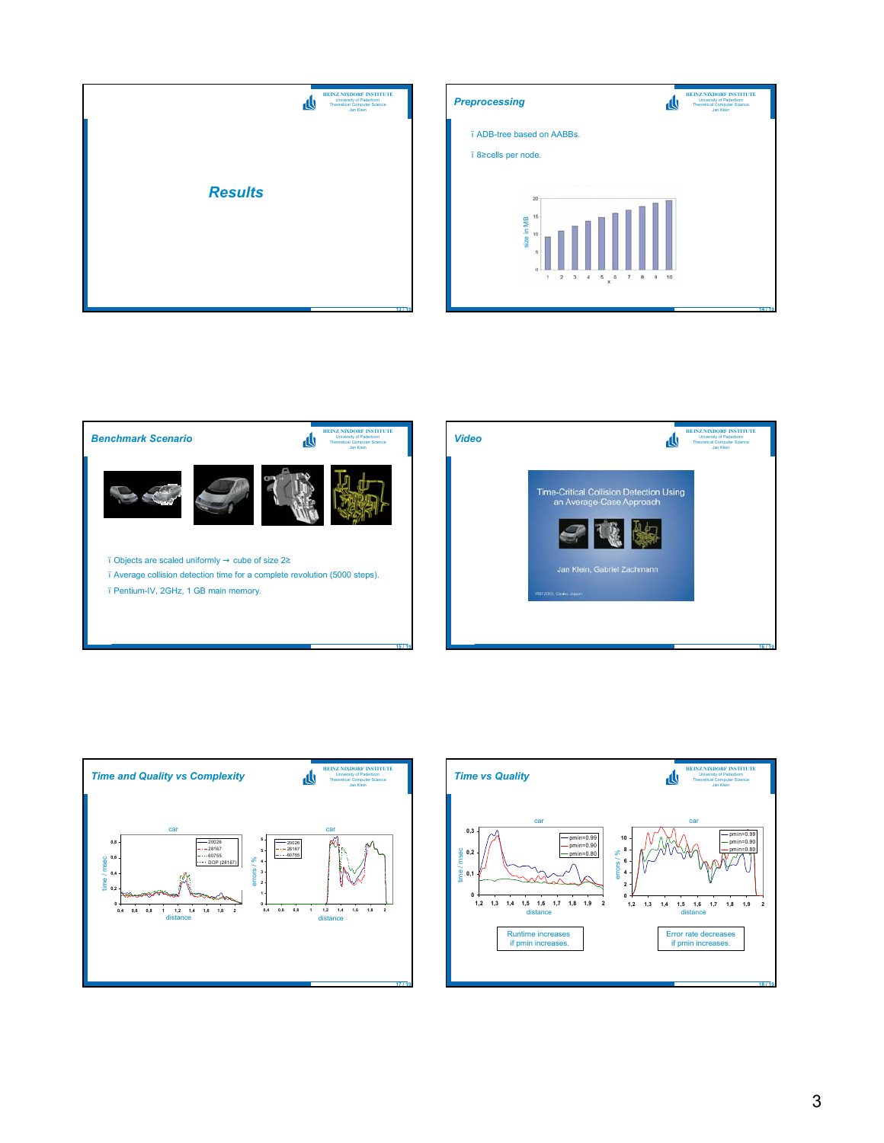